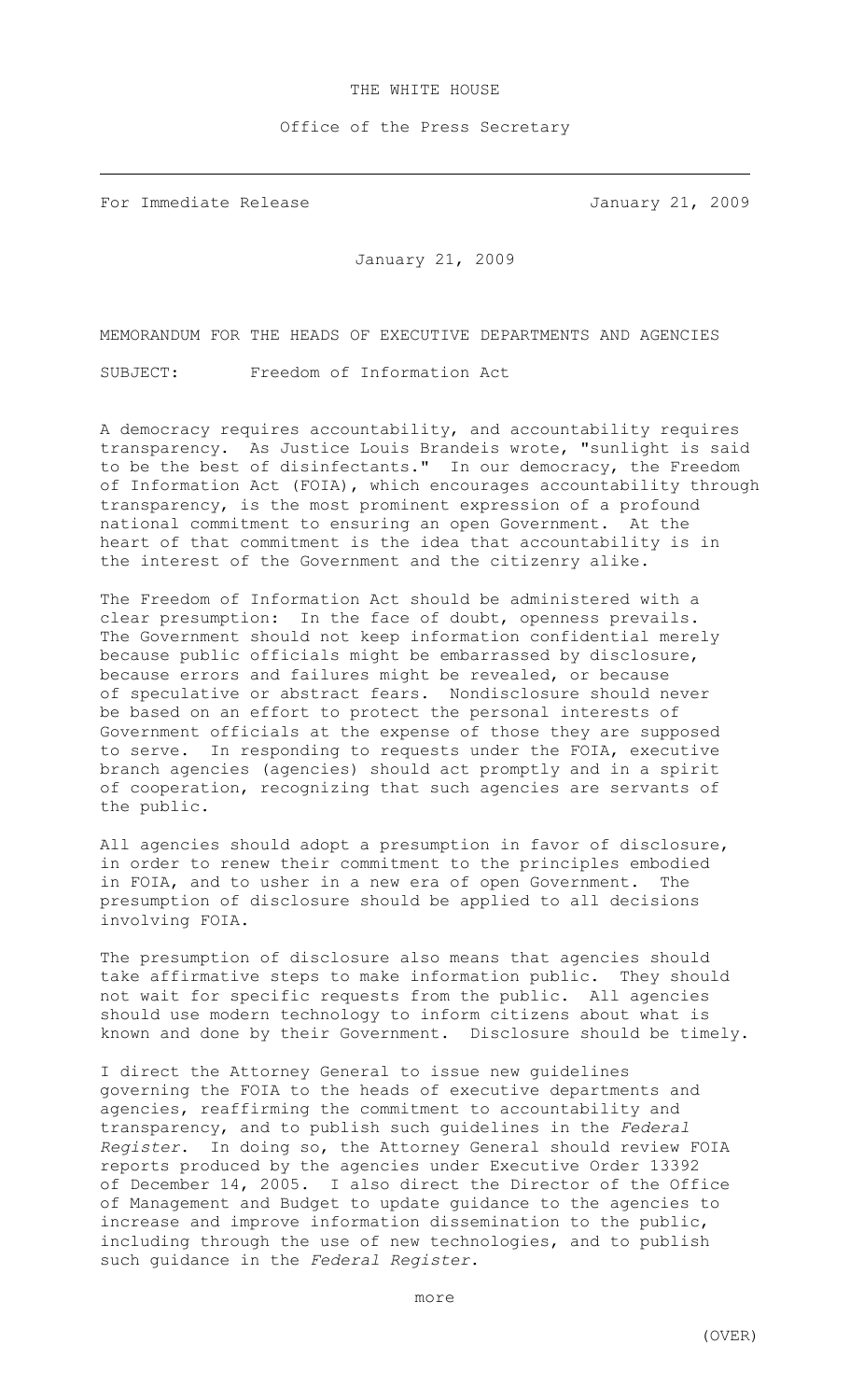## THE WHITE HOUSE

Office of the Press Secretary

For Immediate Release **January 21, 2009** 

January 21, 2009

MEMORANDUM FOR THE HEADS OF EXECUTIVE DEPARTMENTS AND AGENCIES

SUBJECT: Freedom of Information Act

A democracy requires accountability, and accountability requires transparency. As Justice Louis Brandeis wrote, "sunlight is said to be the best of disinfectants." In our democracy, the Freedom of Information Act (FOIA), which encourages accountability through transparency, is the most prominent expression of a profound national commitment to ensuring an open Government. At the heart of that commitment is the idea that accountability is in the interest of the Government and the citizenry alike.

The Freedom of Information Act should be administered with a clear presumption: In the face of doubt, openness prevails. The Government should not keep information confidential merely because public officials might be embarrassed by disclosure, because errors and failures might be revealed, or because of speculative or abstract fears. Nondisclosure should never be based on an effort to protect the personal interests of Government officials at the expense of those they are supposed to serve. In responding to requests under the FOIA, executive branch agencies (agencies) should act promptly and in a spirit of cooperation, recognizing that such agencies are servants of the public.

All agencies should adopt a presumption in favor of disclosure, in order to renew their commitment to the principles embodied in FOIA, and to usher in a new era of open Government. The presumption of disclosure should be applied to all decisions involving FOIA.

The presumption of disclosure also means that agencies should take affirmative steps to make information public. They should not wait for specific requests from the public. All agencies should use modern technology to inform citizens about what is known and done by their Government. Disclosure should be timely.

I direct the Attorney General to issue new guidelines governing the FOIA to the heads of executive departments and agencies, reaffirming the commitment to accountability and transparency, and to publish such guidelines in the *Federal Register*. In doing so, the Attorney General should review FOIA reports produced by the agencies under Executive Order 13392 of December 14, 2005. I also direct the Director of the Office of Management and Budget to update guidance to the agencies to increase and improve information dissemination to the public, including through the use of new technologies, and to publish such guidance in the *Federal Register*.